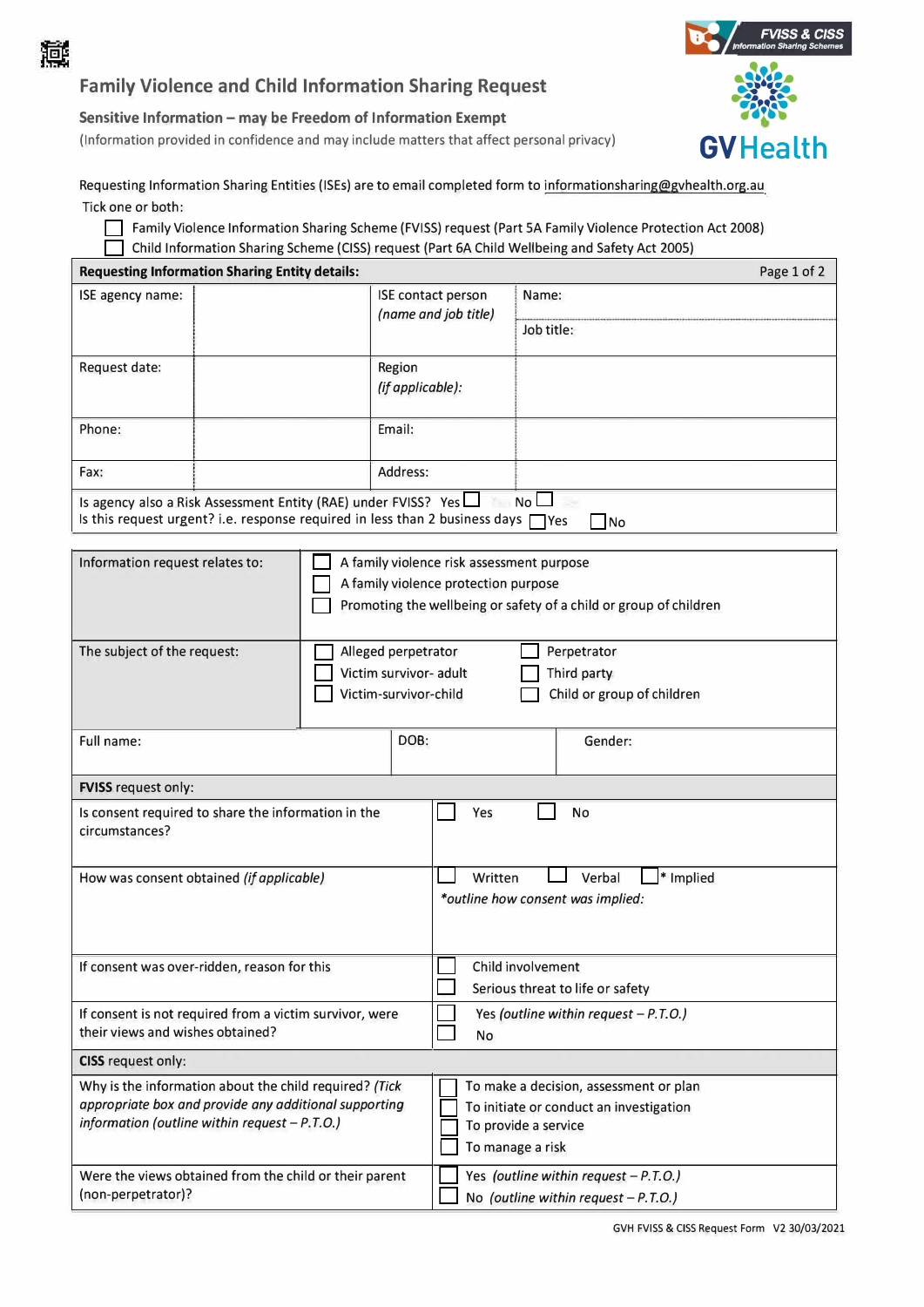

## **Family Violence and Child Information Sharing Request**

## **Sensitive Information - may be Freedom of Information Exempt**

(Information provided in confidence and may include matters that affect personal privacy) **GVHealth** 



Requesting Information Sharing Entities (ISEs) are to email completed form to informationsharing@gvhealth.org.au Tick one or both:

□ Family Violence Information Sharing Scheme (FVISS) request (Part SA Family Violence Protection Act 2008) □ Child Information Sharing Scheme (CISS) request (Part 6A Child Wellbeing and Safety Act 2005)

| Page 1 of 2<br><b>Requesting Information Sharing Entity details:</b>                                                                                                    |  |      |                                                                                                                                                        |  |                                                                                 |  |  |
|-------------------------------------------------------------------------------------------------------------------------------------------------------------------------|--|------|--------------------------------------------------------------------------------------------------------------------------------------------------------|--|---------------------------------------------------------------------------------|--|--|
| ISE agency name:                                                                                                                                                        |  |      | ISE contact person<br>(name and job title)                                                                                                             |  | Name:                                                                           |  |  |
|                                                                                                                                                                         |  |      |                                                                                                                                                        |  | Job title:                                                                      |  |  |
| Request date:                                                                                                                                                           |  |      | Region<br>(if applicable):                                                                                                                             |  |                                                                                 |  |  |
| Phone:                                                                                                                                                                  |  |      | Email:                                                                                                                                                 |  |                                                                                 |  |  |
| Fax:                                                                                                                                                                    |  |      | Address:                                                                                                                                               |  |                                                                                 |  |  |
| Is agency also a Risk Assessment Entity (RAE) under FVISS? Yes<br>No L<br>Is this request urgent? i.e. response required in less than 2 business days $\Box$ Yes<br> No |  |      |                                                                                                                                                        |  |                                                                                 |  |  |
| Information request relates to:                                                                                                                                         |  |      | A family violence risk assessment purpose<br>A family violence protection purpose<br>Promoting the wellbeing or safety of a child or group of children |  |                                                                                 |  |  |
| The subject of the request:                                                                                                                                             |  |      | Alleged perpetrator<br>Perpetrator<br>Victim survivor- adult<br>Third party<br>Child or group of children<br>Victim-survivor-child                     |  |                                                                                 |  |  |
| Full name:                                                                                                                                                              |  | DOB: | Gender:                                                                                                                                                |  |                                                                                 |  |  |
| <b>FVISS</b> request only:                                                                                                                                              |  |      |                                                                                                                                                        |  |                                                                                 |  |  |
| Is consent required to share the information in the<br>circumstances?                                                                                                   |  |      | Yes                                                                                                                                                    |  | No                                                                              |  |  |
| How was consent obtained (if applicable)                                                                                                                                |  |      | Written<br>Verbal<br>* Implied<br>*outline how consent was implied:                                                                                    |  |                                                                                 |  |  |
| If consent was over-ridden, reason for this                                                                                                                             |  |      | Child involvement<br>Serious threat to life or safety                                                                                                  |  |                                                                                 |  |  |
| If consent is not required from a victim survivor, were<br>their views and wishes obtained?                                                                             |  |      | Yes (outline within request $- P.T.O.$ )<br>No                                                                                                         |  |                                                                                 |  |  |
| CISS request only:                                                                                                                                                      |  |      |                                                                                                                                                        |  |                                                                                 |  |  |
| Why is the information about the child required? (Tick<br>appropriate box and provide any additional supporting<br>information (outline within request - P.T.O.)        |  |      | To make a decision, assessment or plan<br>To initiate or conduct an investigation<br>To provide a service<br>To manage a risk                          |  |                                                                                 |  |  |
| Were the views obtained from the child or their parent<br>(non-perpetrator)?                                                                                            |  |      |                                                                                                                                                        |  | Yes (outline within request - P.T.O.)<br>No (outline within request $-P.T.O.$ ) |  |  |